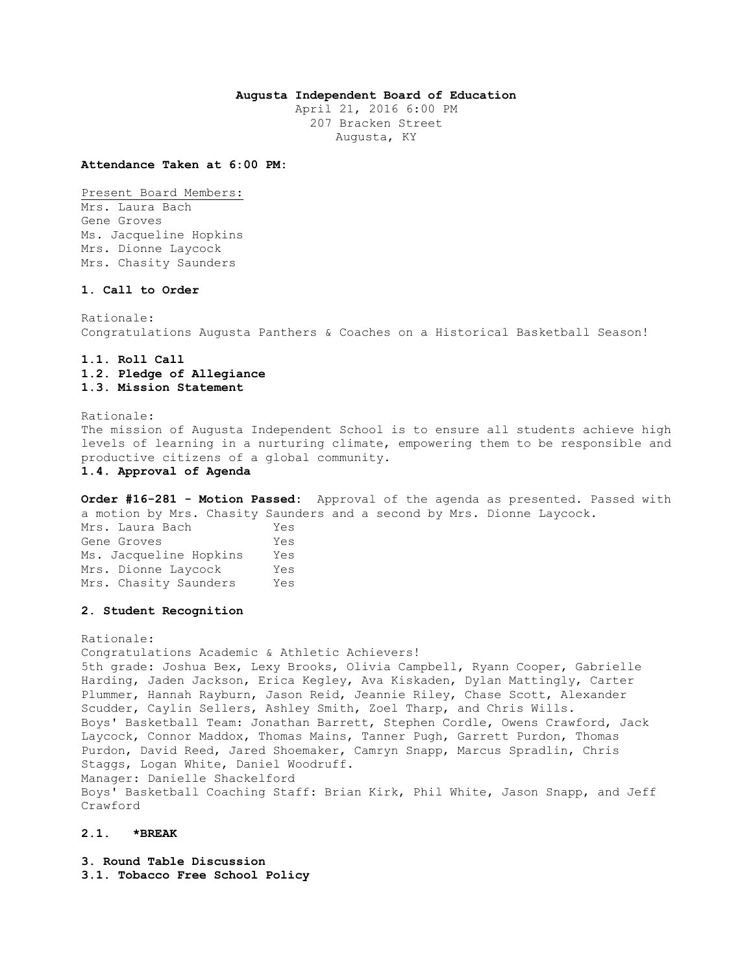# **Augusta Independent Board of Education**

April 21, 2016 6:00 PM 207 Bracken Street Augusta, KY

**Attendance Taken at 6:00 PM:**

Present Board Members: Mrs. Laura Bach Gene Groves Ms. Jacqueline Hopkins Mrs. Dionne Laycock Mrs. Chasity Saunders

# **1. Call to Order**

Rationale: Congratulations Augusta Panthers & Coaches on a Historical Basketball Season!

# **1.1. Roll Call 1.2. Pledge of Allegiance 1.3. Mission Statement**

Rationale:

The mission of Augusta Independent School is to ensure all students achieve high levels of learning in a nurturing climate, empowering them to be responsible and productive citizens of a global community.

### **1.4. Approval of Agenda**

**Order #16-281 - Motion Passed:** Approval of the agenda as presented. Passed with a motion by Mrs. Chasity Saunders and a second by Mrs. Dionne Laycock.

Mrs. Laura Bach Yes Gene Groves Yes Ms. Jacqueline Hopkins Yes Mrs. Dionne Laycock Yes Mrs. Chasity Saunders Yes

# **2. Student Recognition**

Rationale: Congratulations Academic & Athletic Achievers! 5th grade: Joshua Bex, Lexy Brooks, Olivia Campbell, Ryann Cooper, Gabrielle Harding, Jaden Jackson, Erica Kegley, Ava Kiskaden, Dylan Mattingly, Carter Plummer, Hannah Rayburn, Jason Reid, Jeannie Riley, Chase Scott, Alexander Scudder, Caylin Sellers, Ashley Smith, Zoel Tharp, and Chris Wills. Boys' Basketball Team: Jonathan Barrett, Stephen Cordle, Owens Crawford, Jack Laycock, Connor Maddox, Thomas Mains, Tanner Pugh, Garrett Purdon, Thomas Purdon, David Reed, Jared Shoemaker, Camryn Snapp, Marcus Spradlin, Chris Staggs, Logan White, Daniel Woodruff. Manager: Danielle Shackelford Boys' Basketball Coaching Staff: Brian Kirk, Phil White, Jason Snapp, and Jeff Crawford

## **2.1. \*BREAK**

**3. Round Table Discussion 3.1. Tobacco Free School Policy**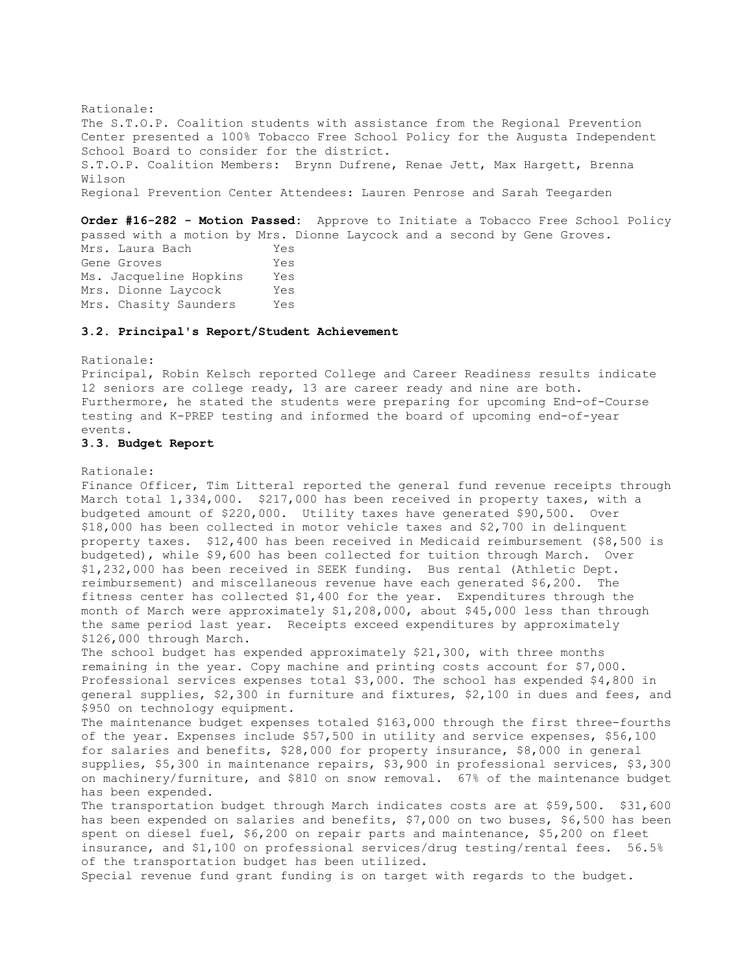Rationale: The S.T.O.P. Coalition students with assistance from the Regional Prevention Center presented a 100% Tobacco Free School Policy for the Augusta Independent School Board to consider for the district. S.T.O.P. Coalition Members: Brynn Dufrene, Renae Jett, Max Hargett, Brenna Wilson Regional Prevention Center Attendees: Lauren Penrose and Sarah Teegarden

**Order #16-282 - Motion Passed:** Approve to Initiate a Tobacco Free School Policy passed with a motion by Mrs. Dionne Laycock and a second by Gene Groves. Mrs. Laura Bach Yes Gene Groves Tes Ms. Jacqueline Hopkins Yes Mrs. Dionne Laycock Yes Mrs. Chasity Saunders Yes

### **3.2. Principal's Report/Student Achievement**

Rationale: Principal, Robin Kelsch reported College and Career Readiness results indicate 12 seniors are college ready, 13 are career ready and nine are both. Furthermore, he stated the students were preparing for upcoming End-of-Course testing and K-PREP testing and informed the board of upcoming end-of-year events.

#### **3.3. Budget Report**

### Rationale:

Finance Officer, Tim Litteral reported the general fund revenue receipts through March total 1,334,000. \$217,000 has been received in property taxes, with a budgeted amount of \$220,000. Utility taxes have generated \$90,500. Over \$18,000 has been collected in motor vehicle taxes and \$2,700 in delinquent property taxes. \$12,400 has been received in Medicaid reimbursement (\$8,500 is budgeted), while \$9,600 has been collected for tuition through March. Over \$1,232,000 has been received in SEEK funding. Bus rental (Athletic Dept. reimbursement) and miscellaneous revenue have each generated \$6,200. The fitness center has collected \$1,400 for the year. Expenditures through the month of March were approximately \$1,208,000, about \$45,000 less than through the same period last year. Receipts exceed expenditures by approximately \$126,000 through March. The school budget has expended approximately \$21,300, with three months remaining in the year. Copy machine and printing costs account for \$7,000. Professional services expenses total \$3,000. The school has expended \$4,800 in general supplies, \$2,300 in furniture and fixtures, \$2,100 in dues and fees, and \$950 on technology equipment. The maintenance budget expenses totaled \$163,000 through the first three-fourths of the year. Expenses include \$57,500 in utility and service expenses, \$56,100 for salaries and benefits, \$28,000 for property insurance, \$8,000 in general supplies, \$5,300 in maintenance repairs, \$3,900 in professional services, \$3,300 on machinery/furniture, and \$810 on snow removal. 67% of the maintenance budget has been expended. The transportation budget through March indicates costs are at \$59,500. \$31,600

has been expended on salaries and benefits, \$7,000 on two buses, \$6,500 has been spent on diesel fuel, \$6,200 on repair parts and maintenance, \$5,200 on fleet insurance, and \$1,100 on professional services/drug testing/rental fees. 56.5% of the transportation budget has been utilized.

Special revenue fund grant funding is on target with regards to the budget.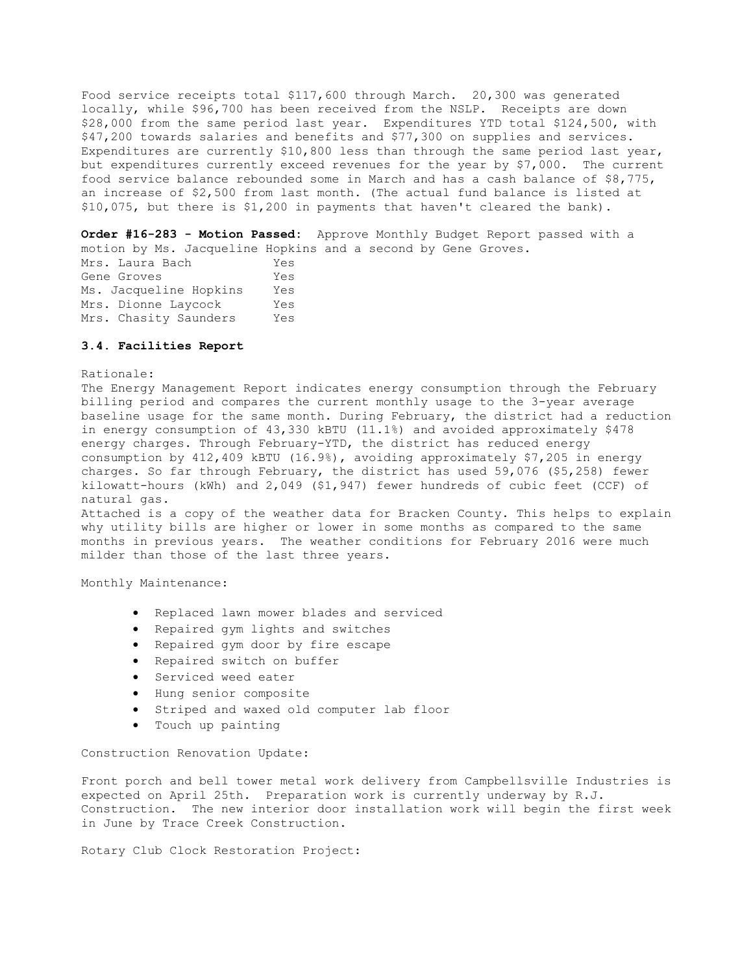Food service receipts total \$117,600 through March. 20,300 was generated locally, while \$96,700 has been received from the NSLP. Receipts are down \$28,000 from the same period last year. Expenditures YTD total \$124,500, with \$47,200 towards salaries and benefits and \$77,300 on supplies and services. Expenditures are currently \$10,800 less than through the same period last year, but expenditures currently exceed revenues for the year by \$7,000. The current food service balance rebounded some in March and has a cash balance of \$8,775, an increase of \$2,500 from last month. (The actual fund balance is listed at \$10,075, but there is \$1,200 in payments that haven't cleared the bank).

**Order #16-283 - Motion Passed:** Approve Monthly Budget Report passed with a motion by Ms. Jacqueline Hopkins and a second by Gene Groves. Mrs. Laura Bach Yes Gene Groves Tes Ms. Jacqueline Hopkins Yes Mrs. Dionne Laycock Yes Mrs. Chasity Saunders Yes

### **3.4. Facilities Report**

### Rationale:

The Energy Management Report indicates energy consumption through the February billing period and compares the current monthly usage to the 3-year average baseline usage for the same month. During February, the district had a reduction in energy consumption of 43,330 kBTU (11.1%) and avoided approximately \$478 energy charges. Through February-YTD, the district has reduced energy consumption by 412,409 kBTU (16.9%), avoiding approximately \$7,205 in energy charges. So far through February, the district has used 59,076 (\$5,258) fewer kilowatt-hours (kWh) and 2,049 (\$1,947) fewer hundreds of cubic feet (CCF) of natural gas.

Attached is a copy of the weather data for Bracken County. This helps to explain why utility bills are higher or lower in some months as compared to the same months in previous years. The weather conditions for February 2016 were much milder than those of the last three years.

Monthly Maintenance:

- Replaced lawn mower blades and serviced
- Repaired gym lights and switches
- Repaired gym door by fire escape
- Repaired switch on buffer
- Serviced weed eater
- Hung senior composite
- Striped and waxed old computer lab floor
- Touch up painting

Construction Renovation Update:

Front porch and bell tower metal work delivery from Campbellsville Industries is expected on April 25th. Preparation work is currently underway by R.J. Construction. The new interior door installation work will begin the first week in June by Trace Creek Construction.

Rotary Club Clock Restoration Project: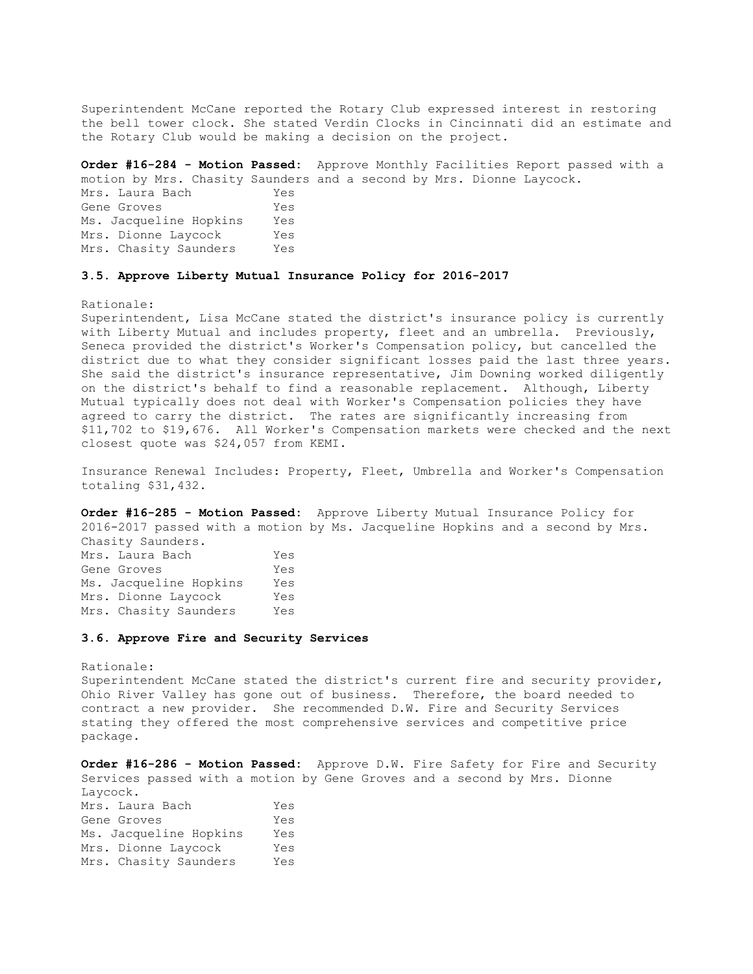Superintendent McCane reported the Rotary Club expressed interest in restoring the bell tower clock. She stated Verdin Clocks in Cincinnati did an estimate and the Rotary Club would be making a decision on the project.

**Order #16-284 - Motion Passed:** Approve Monthly Facilities Report passed with a motion by Mrs. Chasity Saunders and a second by Mrs. Dionne Laycock. Mrs. Laura Bach Yes Gene Groves Yes Ms. Jacqueline Hopkins Yes Mrs. Dionne Laycock Yes Mrs. Chasity Saunders Yes

## **3.5. Approve Liberty Mutual Insurance Policy for 2016-2017**

Rationale:

Superintendent, Lisa McCane stated the district's insurance policy is currently with Liberty Mutual and includes property, fleet and an umbrella. Previously, Seneca provided the district's Worker's Compensation policy, but cancelled the district due to what they consider significant losses paid the last three years. She said the district's insurance representative, Jim Downing worked diligently on the district's behalf to find a reasonable replacement. Although, Liberty Mutual typically does not deal with Worker's Compensation policies they have agreed to carry the district. The rates are significantly increasing from \$11,702 to \$19,676. All Worker's Compensation markets were checked and the next closest quote was \$24,057 from KEMI.

Insurance Renewal Includes: Property, Fleet, Umbrella and Worker's Compensation totaling \$31,432.

**Order #16-285 - Motion Passed:** Approve Liberty Mutual Insurance Policy for 2016-2017 passed with a motion by Ms. Jacqueline Hopkins and a second by Mrs. Chasity Saunders.

Mrs. Laura Bach Yes Gene Groves Yes Ms. Jacqueline Hopkins Yes Mrs. Dionne Laycock Yes Mrs. Chasity Saunders Yes

#### **3.6. Approve Fire and Security Services**

Rationale: Superintendent McCane stated the district's current fire and security provider, Ohio River Valley has gone out of business. Therefore, the board needed to contract a new provider. She recommended D.W. Fire and Security Services stating they offered the most comprehensive services and competitive price package.

**Order #16-286 - Motion Passed:** Approve D.W. Fire Safety for Fire and Security Services passed with a motion by Gene Groves and a second by Mrs. Dionne Laycock. Mrs. Laura Bach Yes Gene Groves Yes Ms. Jacqueline Hopkins Yes Mrs. Dionne Laycock Yes Mrs. Chasity Saunders Yes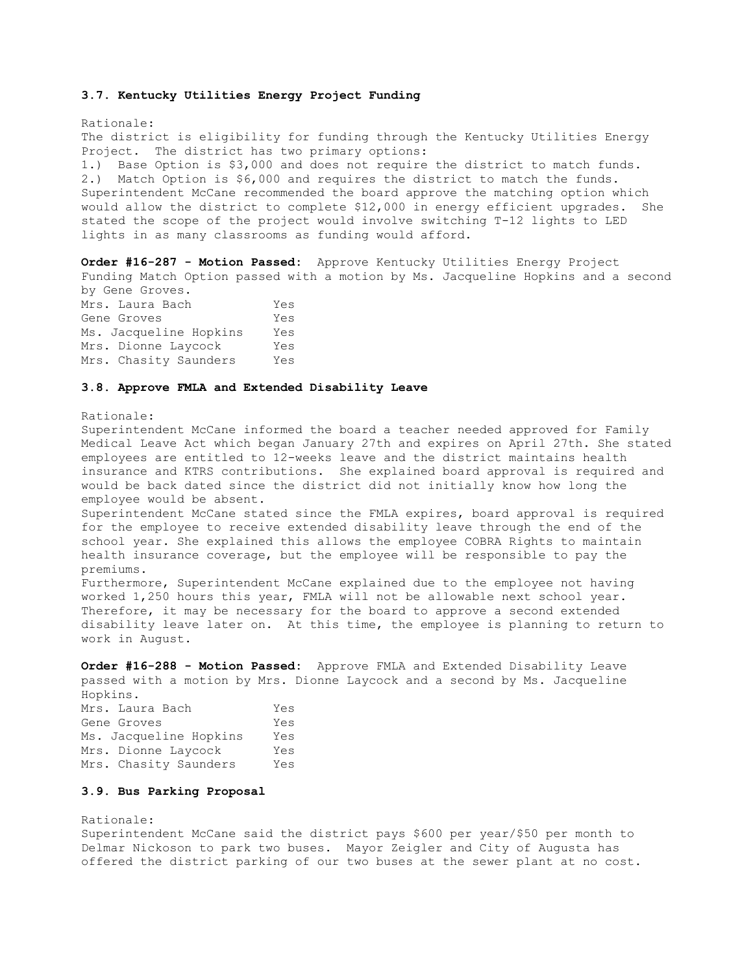### **3.7. Kentucky Utilities Energy Project Funding**

Rationale: The district is eligibility for funding through the Kentucky Utilities Energy Project. The district has two primary options: 1.) Base Option is \$3,000 and does not require the district to match funds. 2.) Match Option is \$6,000 and requires the district to match the funds. Superintendent McCane recommended the board approve the matching option which would allow the district to complete \$12,000 in energy efficient upgrades. She stated the scope of the project would involve switching T-12 lights to LED lights in as many classrooms as funding would afford.

**Order #16-287 - Motion Passed:** Approve Kentucky Utilities Energy Project Funding Match Option passed with a motion by Ms. Jacqueline Hopkins and a second by Gene Groves. Mrs. Laura Bach Yes Gene Groves Tes Ms. Jacqueline Hopkins Yes Mrs. Dionne Laycock Yes

### **3.8. Approve FMLA and Extended Disability Leave**

Mrs. Chasity Saunders Yes

#### Rationale:

Superintendent McCane informed the board a teacher needed approved for Family Medical Leave Act which began January 27th and expires on April 27th. She stated employees are entitled to 12-weeks leave and the district maintains health insurance and KTRS contributions. She explained board approval is required and would be back dated since the district did not initially know how long the employee would be absent.

Superintendent McCane stated since the FMLA expires, board approval is required for the employee to receive extended disability leave through the end of the school year. She explained this allows the employee COBRA Rights to maintain health insurance coverage, but the employee will be responsible to pay the premiums.

Furthermore, Superintendent McCane explained due to the employee not having worked 1,250 hours this year, FMLA will not be allowable next school year. Therefore, it may be necessary for the board to approve a second extended disability leave later on. At this time, the employee is planning to return to work in August.

**Order #16-288 - Motion Passed:** Approve FMLA and Extended Disability Leave passed with a motion by Mrs. Dionne Laycock and a second by Ms. Jacqueline Hopkins.

Mrs. Laura Bach Yes Gene Groves Tes Ms. Jacqueline Hopkins Yes Mrs. Dionne Laycock Yes Mrs. Chasity Saunders Yes

# **3.9. Bus Parking Proposal**

#### Rationale:

Superintendent McCane said the district pays \$600 per year/\$50 per month to Delmar Nickoson to park two buses. Mayor Zeigler and City of Augusta has offered the district parking of our two buses at the sewer plant at no cost.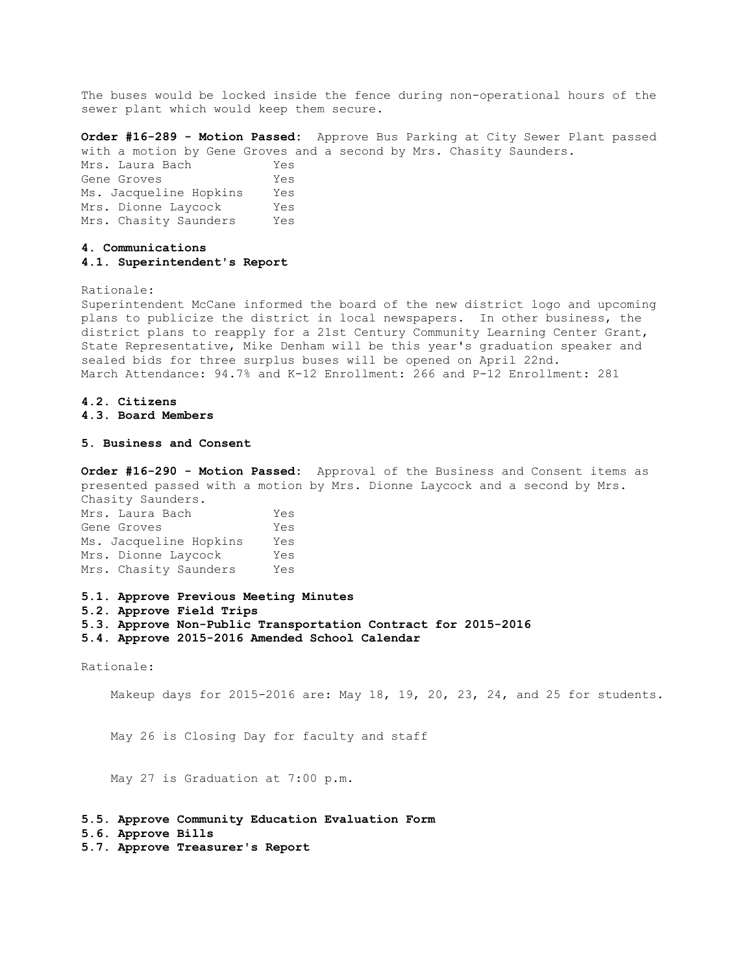The buses would be locked inside the fence during non-operational hours of the sewer plant which would keep them secure.

**Order #16-289 - Motion Passed:** Approve Bus Parking at City Sewer Plant passed with a motion by Gene Groves and a second by Mrs. Chasity Saunders. Mrs. Laura Bach Yes Gene Groves Yes Ms. Jacqueline Hopkins Yes Mrs. Dionne Laycock Yes Mrs. Chasity Saunders Yes

### **4. Communications 4.1. Superintendent's Report**

Rationale:

Superintendent McCane informed the board of the new district logo and upcoming plans to publicize the district in local newspapers. In other business, the district plans to reapply for a 21st Century Community Learning Center Grant, State Representative, Mike Denham will be this year's graduation speaker and sealed bids for three surplus buses will be opened on April 22nd. March Attendance: 94.7% and K-12 Enrollment: 266 and P-12 Enrollment: 281

# **4.2. Citizens**

# **4.3. Board Members**

### **5. Business and Consent**

**Order #16-290 - Motion Passed:** Approval of the Business and Consent items as presented passed with a motion by Mrs. Dionne Laycock and a second by Mrs. Chasity Saunders.

Mrs. Laura Bach Yes Gene Groves Tes Ms. Jacqueline Hopkins Yes Mrs. Dionne Laycock Yes Mrs. Chasity Saunders Yes

#### **5.1. Approve Previous Meeting Minutes**

#### **5.2. Approve Field Trips**

**5.3. Approve Non-Public Transportation Contract for 2015-2016** 

**5.4. Approve 2015-2016 Amended School Calendar** 

Rationale:

Makeup days for 2015-2016 are: May 18, 19, 20, 23, 24, and 25 for students.

May 26 is Closing Day for faculty and staff

May 27 is Graduation at 7:00 p.m.

**5.5. Approve Community Education Evaluation Form** 

**5.6. Approve Bills** 

**5.7. Approve Treasurer's Report**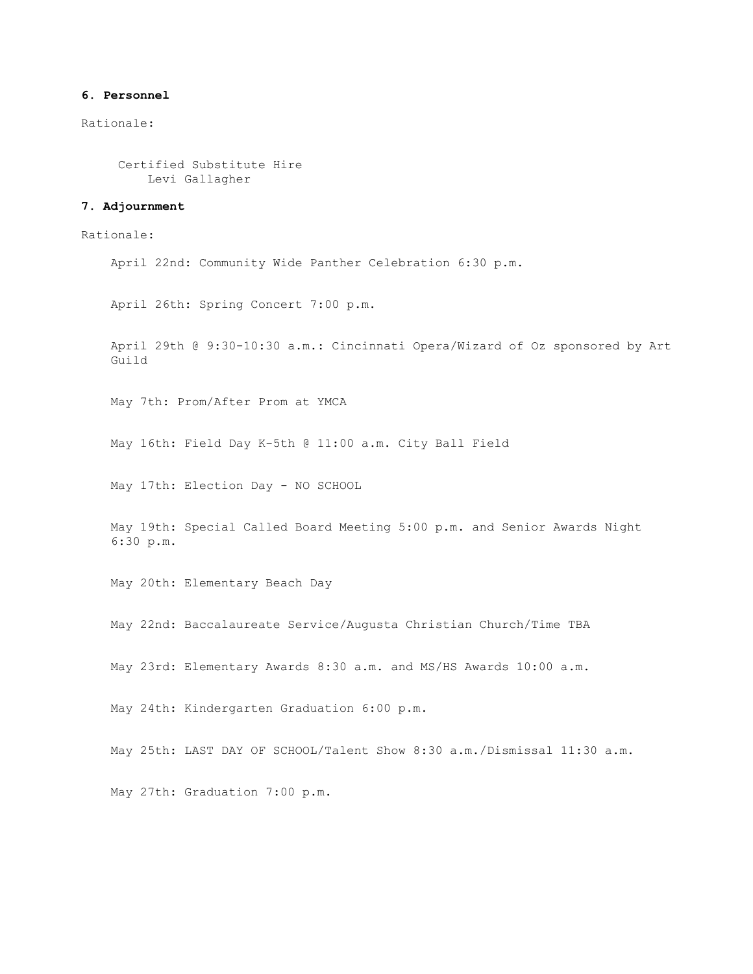# **6. Personnel**

Rationale:

 Certified Substitute Hire Levi Gallagher

## **7. Adjournment**

Rationale:

April 22nd: Community Wide Panther Celebration 6:30 p.m.

April 26th: Spring Concert 7:00 p.m.

April 29th @ 9:30-10:30 a.m.: Cincinnati Opera/Wizard of Oz sponsored by Art Guild

May 7th: Prom/After Prom at YMCA

May 16th: Field Day K-5th @ 11:00 a.m. City Ball Field

May 17th: Election Day - NO SCHOOL

May 19th: Special Called Board Meeting 5:00 p.m. and Senior Awards Night 6:30 p.m.

May 20th: Elementary Beach Day

May 22nd: Baccalaureate Service/Augusta Christian Church/Time TBA

May 23rd: Elementary Awards 8:30 a.m. and MS/HS Awards 10:00 a.m.

May 24th: Kindergarten Graduation 6:00 p.m.

May 25th: LAST DAY OF SCHOOL/Talent Show 8:30 a.m./Dismissal 11:30 a.m.

May 27th: Graduation 7:00 p.m.